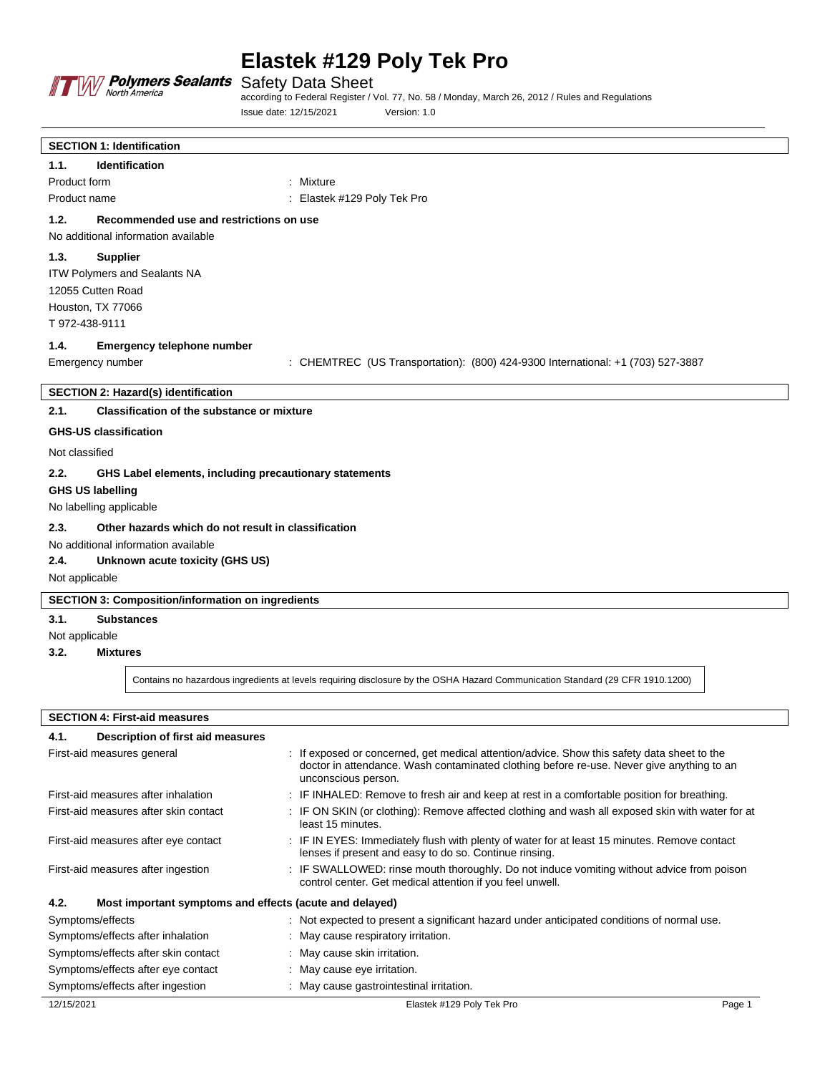

# **Elastek #129 Poly Tek Pro**

Safety Data Sheet

according to Federal Register / Vol. 77, No. 58 / Monday, March 26, 2012 / Rules and Regulations Issue date: 12/15/2021 Version: 1.0

| <b>SECTION 1: Identification</b>                               |                                                                                 |
|----------------------------------------------------------------|---------------------------------------------------------------------------------|
| Identification<br>1.1.                                         |                                                                                 |
| Product form                                                   | : Mixture                                                                       |
| Product name                                                   | : Elastek #129 Poly Tek Pro                                                     |
| 1.2.<br>Recommended use and restrictions on use                |                                                                                 |
| No additional information available                            |                                                                                 |
| 1.3.<br><b>Supplier</b>                                        |                                                                                 |
| ITW Polymers and Sealants NA                                   |                                                                                 |
| 12055 Cutten Road                                              |                                                                                 |
| Houston, TX 77066                                              |                                                                                 |
| T 972-438-9111                                                 |                                                                                 |
| 1.4.<br><b>Emergency telephone number</b>                      |                                                                                 |
| Emergency number                                               | : CHEMTREC (US Transportation): (800) 424-9300 International: +1 (703) 527-3887 |
|                                                                |                                                                                 |
| <b>SECTION 2: Hazard(s) identification</b>                     |                                                                                 |
| 2.1.<br><b>Classification of the substance or mixture</b>      |                                                                                 |
| <b>GHS-US classification</b>                                   |                                                                                 |
| Not classified                                                 |                                                                                 |
| 2.2.<br>GHS Label elements, including precautionary statements |                                                                                 |
| <b>GHS US labelling</b>                                        |                                                                                 |
| No labelling applicable                                        |                                                                                 |
| 2.3.<br>Other hazards which do not result in classification    |                                                                                 |
| No additional information available                            |                                                                                 |
| 2.4.<br>Unknown acute toxicity (GHS US)                        |                                                                                 |
| Not applicable                                                 |                                                                                 |
| <b>SECTION 3: Composition/information on ingredients</b>       |                                                                                 |
| 3.1.<br><b>Substances</b>                                      |                                                                                 |
| Not applicable                                                 |                                                                                 |
| <b>BALLA</b><br><b>CO</b>                                      |                                                                                 |

**3.2. Mixtures**

Contains no hazardous ingredients at levels requiring disclosure by the OSHA Hazard Communication Standard (29 CFR 1910.1200)

### **SECTION 4: First-aid measures**

| 4.1.<br>Description of first aid measures                       |                                                                                                                                                                                                                 |  |  |
|-----------------------------------------------------------------|-----------------------------------------------------------------------------------------------------------------------------------------------------------------------------------------------------------------|--|--|
| First-aid measures general                                      | : If exposed or concerned, get medical attention/advice. Show this safety data sheet to the<br>doctor in attendance. Wash contaminated clothing before re-use. Never give anything to an<br>unconscious person. |  |  |
| First-aid measures after inhalation                             | : IF INHALED: Remove to fresh air and keep at rest in a comfortable position for breathing.                                                                                                                     |  |  |
| First-aid measures after skin contact                           | : IF ON SKIN (or clothing): Remove affected clothing and wash all exposed skin with water for at<br>least 15 minutes.                                                                                           |  |  |
| First-aid measures after eye contact                            | : IF IN EYES: Immediately flush with plenty of water for at least 15 minutes. Remove contact<br>lenses if present and easy to do so. Continue rinsing.                                                          |  |  |
| First-aid measures after ingestion                              | : IF SWALLOWED: rinse mouth thoroughly. Do not induce vomiting without advice from poison<br>control center. Get medical attention if you feel unwell.                                                          |  |  |
| 4.2.<br>Most important symptoms and effects (acute and delayed) |                                                                                                                                                                                                                 |  |  |
| Symptoms/effects                                                | : Not expected to present a significant hazard under anticipated conditions of normal use.                                                                                                                      |  |  |
| Symptoms/effects after inhalation                               | : May cause respiratory irritation.                                                                                                                                                                             |  |  |
| Symptoms/effects after skin contact                             | May cause skin irritation.                                                                                                                                                                                      |  |  |
| Symptoms/effects after eye contact                              | : May cause eye irritation.                                                                                                                                                                                     |  |  |
| Symptoms/effects after ingestion                                | : May cause gastrointestinal irritation.                                                                                                                                                                        |  |  |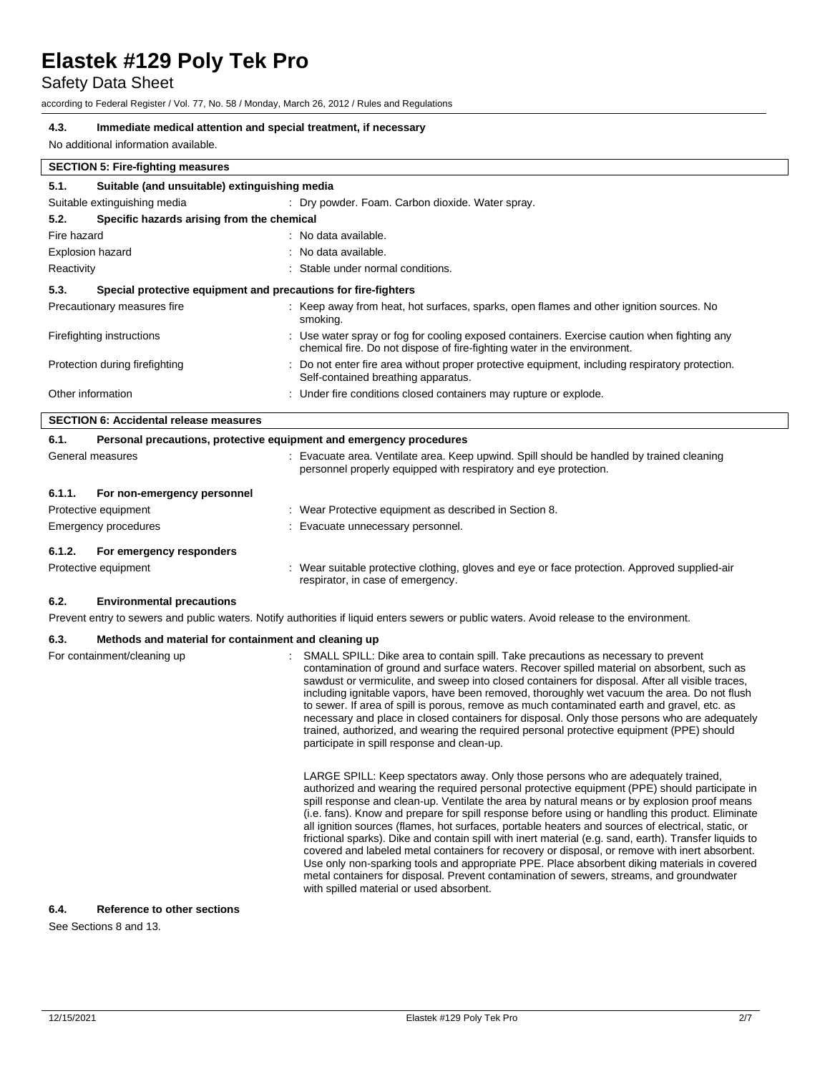## Safety Data Sheet

according to Federal Register / Vol. 77, No. 58 / Monday, March 26, 2012 / Rules and Regulations

### **4.3. Immediate medical attention and special treatment, if necessary**

No additional information available.

|                                                    | <b>SECTION 5: Fire-fighting measures</b>                       |                                                                                                                                                                         |  |  |  |
|----------------------------------------------------|----------------------------------------------------------------|-------------------------------------------------------------------------------------------------------------------------------------------------------------------------|--|--|--|
| 5.1.                                               | Suitable (and unsuitable) extinguishing media                  |                                                                                                                                                                         |  |  |  |
|                                                    | Suitable extinguishing media                                   | : Dry powder. Foam. Carbon dioxide. Water spray.                                                                                                                        |  |  |  |
| 5.2.<br>Specific hazards arising from the chemical |                                                                |                                                                                                                                                                         |  |  |  |
| Fire hazard                                        |                                                                | : No data available.                                                                                                                                                    |  |  |  |
| <b>Explosion hazard</b>                            |                                                                | : No data available.                                                                                                                                                    |  |  |  |
| Reactivity<br>: Stable under normal conditions.    |                                                                |                                                                                                                                                                         |  |  |  |
| 5.3.                                               | Special protective equipment and precautions for fire-fighters |                                                                                                                                                                         |  |  |  |
|                                                    | Precautionary measures fire                                    | : Keep away from heat, hot surfaces, sparks, open flames and other ignition sources. No<br>smoking.                                                                     |  |  |  |
|                                                    | Firefighting instructions                                      | : Use water spray or fog for cooling exposed containers. Exercise caution when fighting any<br>chemical fire. Do not dispose of fire-fighting water in the environment. |  |  |  |
|                                                    | Protection during firefighting                                 | : Do not enter fire area without proper protective equipment, including respiratory protection.<br>Self-contained breathing apparatus.                                  |  |  |  |
| Other information                                  |                                                                | : Under fire conditions closed containers may rupture or explode.                                                                                                       |  |  |  |
|                                                    | <b>SECTION 6: Accidental release measures</b>                  |                                                                                                                                                                         |  |  |  |

| 6.1.             | Personal precautions, protective equipment and emergency procedures |  |                                                                                                                                                             |  |  |  |
|------------------|---------------------------------------------------------------------|--|-------------------------------------------------------------------------------------------------------------------------------------------------------------|--|--|--|
| General measures |                                                                     |  | Evacuate area. Ventilate area. Keep upwind. Spill should be handled by trained cleaning<br>personnel properly equipped with respiratory and eye protection. |  |  |  |
| 6.1.1.           | For non-emergency personnel                                         |  |                                                                                                                                                             |  |  |  |
|                  | Protective equipment                                                |  | : Wear Protective equipment as described in Section 8.                                                                                                      |  |  |  |
|                  | Emergency procedures                                                |  | : Evacuate unnecessary personnel.                                                                                                                           |  |  |  |
| 6.1.2.           | For emergency responders                                            |  |                                                                                                                                                             |  |  |  |
|                  | Protective equipment                                                |  | : Wear suitable protective clothing, gloves and eye or face protection. Approved supplied-air<br>respirator, in case of emergency.                          |  |  |  |

#### **6.2. Environmental precautions**

Prevent entry to sewers and public waters. Notify authorities if liquid enters sewers or public waters. Avoid release to the environment.

## **6.3. Methods and material for containment and cleaning up**

| For containment/cleaning up | SMALL SPILL: Dike area to contain spill. Take precautions as necessary to prevent<br>contamination of ground and surface waters. Recover spilled material on absorbent, such as<br>sawdust or vermiculite, and sweep into closed containers for disposal. After all visible traces,<br>including ignitable vapors, have been removed, thoroughly wet vacuum the area. Do not flush<br>to sewer. If area of spill is porous, remove as much contaminated earth and gravel, etc. as<br>necessary and place in closed containers for disposal. Only those persons who are adequately<br>trained, authorized, and wearing the required personal protective equipment (PPE) should<br>participate in spill response and clean-up.                                                                                                                                                                                                                      |  |  |
|-----------------------------|---------------------------------------------------------------------------------------------------------------------------------------------------------------------------------------------------------------------------------------------------------------------------------------------------------------------------------------------------------------------------------------------------------------------------------------------------------------------------------------------------------------------------------------------------------------------------------------------------------------------------------------------------------------------------------------------------------------------------------------------------------------------------------------------------------------------------------------------------------------------------------------------------------------------------------------------------|--|--|
|                             | LARGE SPILL: Keep spectators away. Only those persons who are adequately trained,<br>authorized and wearing the required personal protective equipment (PPE) should participate in<br>spill response and clean-up. Ventilate the area by natural means or by explosion proof means<br>(i.e. fans). Know and prepare for spill response before using or handling this product. Eliminate<br>all ignition sources (flames, hot surfaces, portable heaters and sources of electrical, static, or<br>frictional sparks). Dike and contain spill with inert material (e.g. sand, earth). Transfer liquids to<br>covered and labeled metal containers for recovery or disposal, or remove with inert absorbent.<br>Use only non-sparking tools and appropriate PPE. Place absorbent diking materials in covered<br>metal containers for disposal. Prevent contamination of sewers, streams, and groundwater<br>with spilled material or used absorbent. |  |  |

#### **6.4. Reference to other sections**

See Sections 8 and 13.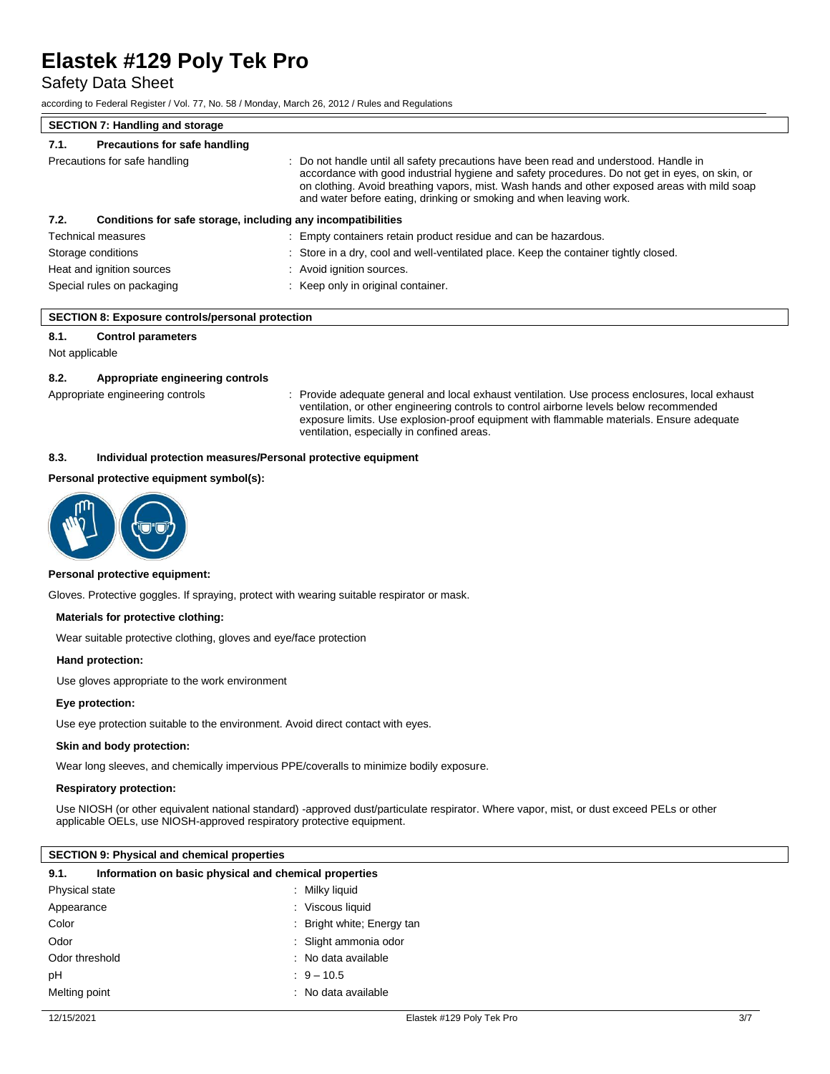Safety Data Sheet

according to Federal Register / Vol. 77, No. 58 / Monday, March 26, 2012 / Rules and Regulations

# **SECTION 7: Handling and storage**

| 7.1.                          | Precautions for safe handling |                                                                                                                                                                                                                                                                                                                                                                |
|-------------------------------|-------------------------------|----------------------------------------------------------------------------------------------------------------------------------------------------------------------------------------------------------------------------------------------------------------------------------------------------------------------------------------------------------------|
| Precautions for safe handling |                               | : Do not handle until all safety precautions have been read and understood. Handle in<br>accordance with good industrial hygiene and safety procedures. Do not get in eyes, on skin, or<br>on clothing. Avoid breathing vapors, mist. Wash hands and other exposed areas with mild soap<br>and water before eating, drinking or smoking and when leaving work. |
| 7.2.                          |                               | Conditions for safe storage, including any incompatibilities                                                                                                                                                                                                                                                                                                   |
|                               | <b>Technical measures</b>     | Empty containers retain product residue and can be hazardous.                                                                                                                                                                                                                                                                                                  |
|                               | Storage conditions            | : Store in a dry, cool and well-ventilated place. Keep the container tightly closed.                                                                                                                                                                                                                                                                           |
|                               | Heat and ignition sources     | : Avoid ignition sources.                                                                                                                                                                                                                                                                                                                                      |
|                               | Special rules on packaging    | Keep only in original container.                                                                                                                                                                                                                                                                                                                               |

#### **SECTION 8: Exposure controls/personal protection**

#### **8.1. Control parameters**

Not applicable

#### **8.2. Appropriate engineering controls**

Appropriate engineering controls : Provide adequate general and local exhaust ventilation. Use process enclosures, local exhaust ventilation, or other engineering controls to control airborne levels below recommended exposure limits. Use explosion-proof equipment with flammable materials. Ensure adequate ventilation, especially in confined areas.

#### **8.3. Individual protection measures/Personal protective equipment**

#### **Personal protective equipment symbol(s):**



#### **Personal protective equipment:**

Gloves. Protective goggles. If spraying, protect with wearing suitable respirator or mask.

#### **Materials for protective clothing:**

Wear suitable protective clothing, gloves and eye/face protection

#### **Hand protection:**

Use gloves appropriate to the work environment

#### **Eye protection:**

Use eye protection suitable to the environment. Avoid direct contact with eyes.

#### **Skin and body protection:**

Wear long sleeves, and chemically impervious PPE/coveralls to minimize bodily exposure.

#### **Respiratory protection:**

Use NIOSH (or other equivalent national standard) -approved dust/particulate respirator. Where vapor, mist, or dust exceed PELs or other applicable OELs, use NIOSH-approved respiratory protective equipment.

#### **SECTION 9: Physical and chemical properties**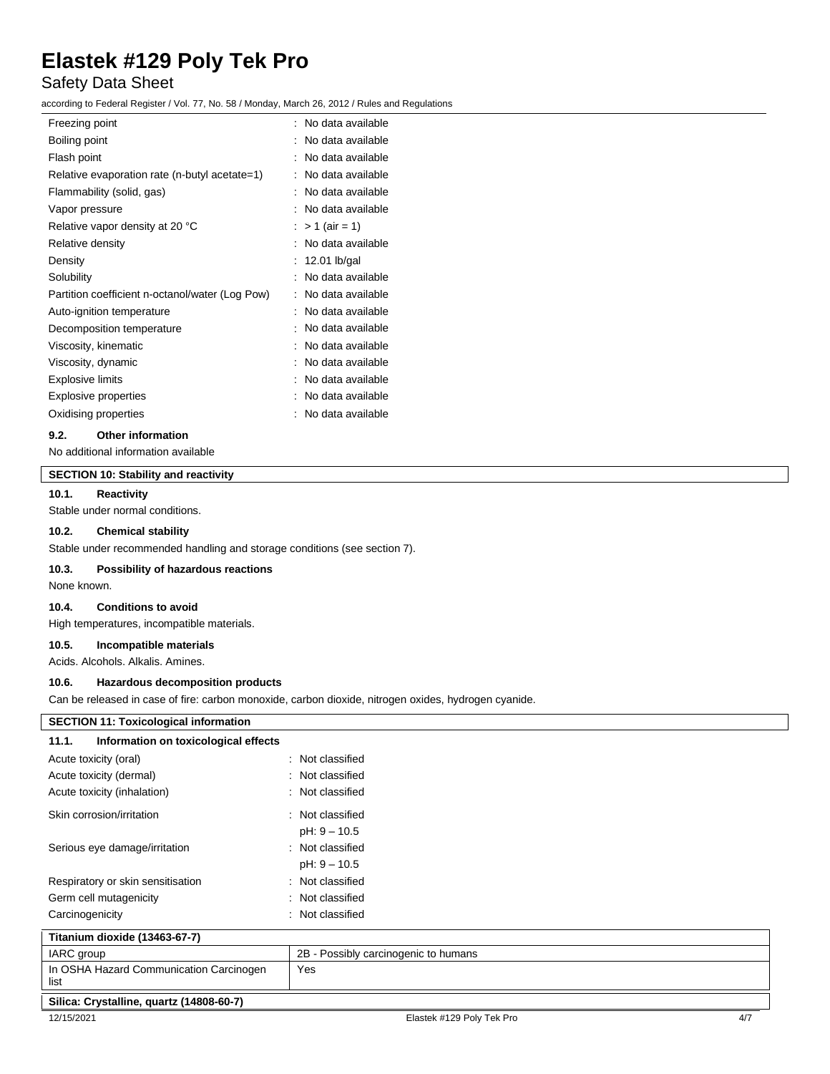## Safety Data Sheet

according to Federal Register / Vol. 77, No. 58 / Monday, March 26, 2012 / Rules and Regulations

| Freezing point                                  | No data available |
|-------------------------------------------------|-------------------|
| Boiling point                                   | No data available |
| Flash point                                     | No data available |
| Relative evaporation rate (n-butyl acetate=1)   | No data available |
| Flammability (solid, gas)                       | No data available |
| Vapor pressure                                  | No data available |
| Relative vapor density at 20 °C                 | $> 1$ (air = 1)   |
| Relative density                                | No data available |
| Density                                         | 12.01 lb/gal      |
| Solubility                                      | No data available |
| Partition coefficient n-octanol/water (Log Pow) | No data available |
| Auto-ignition temperature                       | No data available |
| Decomposition temperature                       | No data available |
| Viscosity, kinematic                            | No data available |
| Viscosity, dynamic                              | No data available |
| <b>Explosive limits</b>                         | No data available |
| <b>Explosive properties</b>                     | No data available |
| Oxidising properties                            | No data available |
|                                                 |                   |

#### **9.2. Other information**

No additional information available

## **SECTION 10: Stability and reactivity**

#### **10.1. Reactivity**

Stable under normal conditions.

### **10.2. Chemical stability**

Stable under recommended handling and storage conditions (see section 7).

#### **10.3. Possibility of hazardous reactions**

None known.

### **10.4. Conditions to avoid**

High temperatures, incompatible materials.

#### **10.5. Incompatible materials**

Acids. Alcohols. Alkalis. Amines.

#### **10.6. Hazardous decomposition products**

Can be released in case of fire: carbon monoxide, carbon dioxide, nitrogen oxides, hydrogen cyanide.

| <b>SECTION 11: Toxicological information</b>    |                                      |     |
|-------------------------------------------------|--------------------------------------|-----|
| Information on toxicological effects<br>11.1.   |                                      |     |
| Acute toxicity (oral)                           | : Not classified                     |     |
| Acute toxicity (dermal)                         | : Not classified                     |     |
| Acute toxicity (inhalation)                     | : Not classified                     |     |
| Skin corrosion/irritation                       | : Not classified                     |     |
|                                                 | $pH: 9 - 10.5$                       |     |
| Serious eye damage/irritation                   | : Not classified                     |     |
|                                                 | $pH: 9 - 10.5$                       |     |
| Respiratory or skin sensitisation               | : Not classified                     |     |
| Germ cell mutagenicity                          | : Not classified                     |     |
| Carcinogenicity                                 | : Not classified                     |     |
| Titanium dioxide (13463-67-7)                   |                                      |     |
| IARC group                                      | 2B - Possibly carcinogenic to humans |     |
| In OSHA Hazard Communication Carcinogen<br>list | Yes                                  |     |
| Silica: Crystalline, quartz (14808-60-7)        |                                      |     |
| 12/15/2021                                      | Elastek #129 Poly Tek Pro            | 4/7 |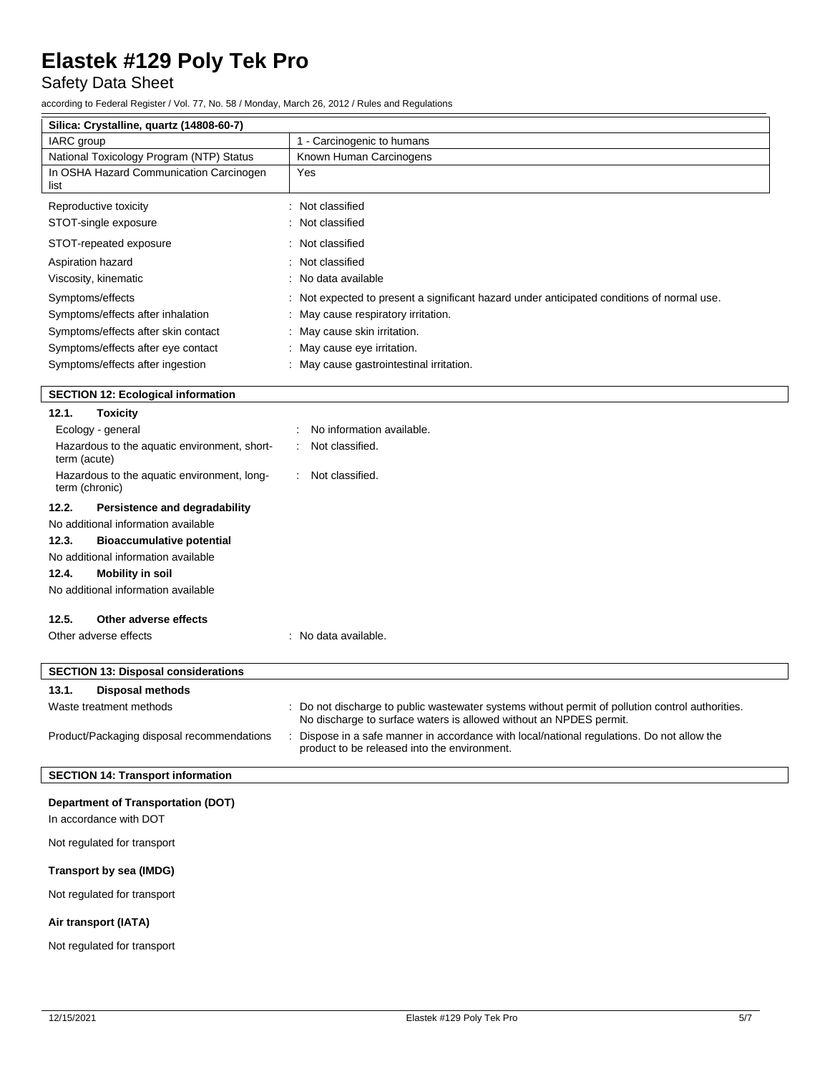Safety Data Sheet

according to Federal Register / Vol. 77, No. 58 / Monday, March 26, 2012 / Rules and Regulations

| Silica: Crystalline, quartz (14808-60-7)                            |                                                                                                                                                                        |
|---------------------------------------------------------------------|------------------------------------------------------------------------------------------------------------------------------------------------------------------------|
| IARC group                                                          | 1 - Carcinogenic to humans                                                                                                                                             |
| National Toxicology Program (NTP) Status                            | Known Human Carcinogens                                                                                                                                                |
| In OSHA Hazard Communication Carcinogen<br>list                     | Yes                                                                                                                                                                    |
| Reproductive toxicity                                               | : Not classified                                                                                                                                                       |
| STOT-single exposure                                                | : Not classified                                                                                                                                                       |
| STOT-repeated exposure                                              | : Not classified                                                                                                                                                       |
| Aspiration hazard                                                   | : Not classified                                                                                                                                                       |
| Viscosity, kinematic                                                | No data available                                                                                                                                                      |
| Symptoms/effects                                                    | Not expected to present a significant hazard under anticipated conditions of normal use.                                                                               |
| Symptoms/effects after inhalation                                   | May cause respiratory irritation.                                                                                                                                      |
| Symptoms/effects after skin contact                                 | : May cause skin irritation.                                                                                                                                           |
| Symptoms/effects after eye contact                                  | : May cause eye irritation.                                                                                                                                            |
| Symptoms/effects after ingestion                                    | : May cause gastrointestinal irritation.                                                                                                                               |
|                                                                     |                                                                                                                                                                        |
| <b>SECTION 12: Ecological information</b>                           |                                                                                                                                                                        |
| 12.1.<br><b>Toxicity</b>                                            |                                                                                                                                                                        |
| Ecology - general                                                   | No information available.                                                                                                                                              |
| Hazardous to the aquatic environment, short-<br>term (acute)        | Not classified.                                                                                                                                                        |
| Hazardous to the aquatic environment, long-<br>term (chronic)       | Not classified.                                                                                                                                                        |
| 12.2.<br>Persistence and degradability                              |                                                                                                                                                                        |
| No additional information available                                 |                                                                                                                                                                        |
| 12.3.<br><b>Bioaccumulative potential</b>                           |                                                                                                                                                                        |
| No additional information available                                 |                                                                                                                                                                        |
| 12.4.<br><b>Mobility in soil</b>                                    |                                                                                                                                                                        |
| No additional information available                                 |                                                                                                                                                                        |
| 12.5.<br>Other adverse effects                                      |                                                                                                                                                                        |
| Other adverse effects                                               | : No data available.                                                                                                                                                   |
|                                                                     |                                                                                                                                                                        |
| <b>SECTION 13: Disposal considerations</b>                          |                                                                                                                                                                        |
| 13.1.<br><b>Disposal methods</b>                                    |                                                                                                                                                                        |
| Waste treatment methods                                             | : Do not discharge to public wastewater systems without permit of pollution control authorities.<br>No discharge to surface waters is allowed without an NPDES permit. |
| Product/Packaging disposal recommendations                          | Dispose in a safe manner in accordance with local/national regulations. Do not allow the<br>product to be released into the environment.                               |
| <b>SECTION 14: Transport information</b>                            |                                                                                                                                                                        |
|                                                                     |                                                                                                                                                                        |
| <b>Department of Transportation (DOT)</b><br>In accordance with DOT |                                                                                                                                                                        |
|                                                                     |                                                                                                                                                                        |
| Not regulated for transport                                         |                                                                                                                                                                        |
| Transport by sea (IMDG)                                             |                                                                                                                                                                        |
| Not regulated for transport                                         |                                                                                                                                                                        |

### **Air transport (IATA)**

Not regulated for transport

 $\overline{\phantom{a}}$ 

 $\overline{\phantom{a}}$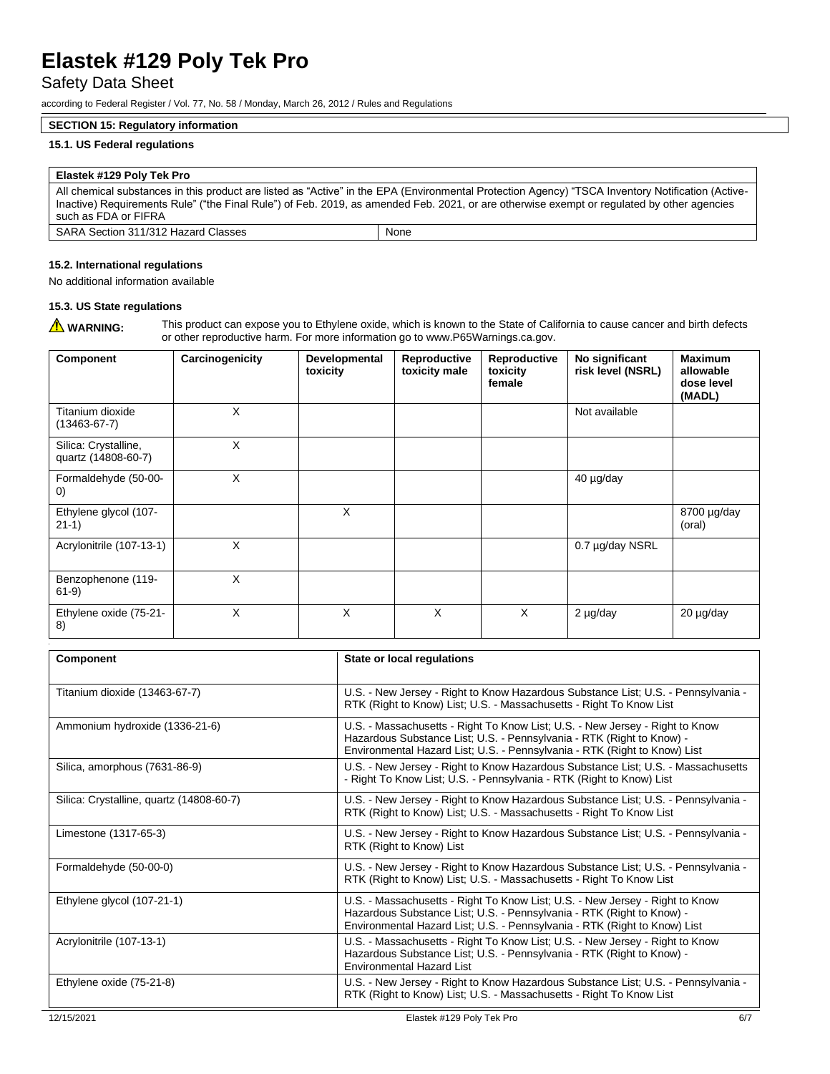## Safety Data Sheet

according to Federal Register / Vol. 77, No. 58 / Monday, March 26, 2012 / Rules and Regulations

#### **SECTION 15: Regulatory information**

#### **15.1. US Federal regulations**

### **Elastek #129 Poly Tek Pro** All chemical substances in this product are listed as "Active" in the EPA (Environmental Protection Agency) "TSCA Inventory Notification (Active-Inactive) Requirements Rule" ("the Final Rule") of Feb. 2019, as amended Feb. 2021, or are otherwise exempt or regulated by other agencies such as FDA or FIFRA

| SARA Section 311/312 Hazard Classes | None |
|-------------------------------------|------|

#### **15.2. International regulations**

No additional information available

#### **15.3. US State regulations**

WARNING: This product can expose you to Ethylene oxide, which is known to the State of California to cause cancer and birth defects or other reproductive harm. For more information go to www.P65Warnings.ca.gov.

| Component                                   | Carcinogenicity | Developmental<br>toxicity | Reproductive<br>toxicity male | Reproductive<br>toxicity<br>female | No significant<br>risk level (NSRL) | <b>Maximum</b><br>allowable<br>dose level<br>(MADL) |
|---------------------------------------------|-----------------|---------------------------|-------------------------------|------------------------------------|-------------------------------------|-----------------------------------------------------|
| Titanium dioxide<br>$(13463 - 67 - 7)$      | X               |                           |                               |                                    | Not available                       |                                                     |
| Silica: Crystalline,<br>quartz (14808-60-7) | X               |                           |                               |                                    |                                     |                                                     |
| Formaldehyde (50-00-<br>$\left( 0\right)$   | X               |                           |                               |                                    | 40 µg/day                           |                                                     |
| Ethylene glycol (107-<br>$21-1)$            |                 | X                         |                               |                                    |                                     | $8700 \mu g/day$<br>(oral)                          |
| Acrylonitrile (107-13-1)                    | X               |                           |                               |                                    | 0.7 µg/day NSRL                     |                                                     |
| Benzophenone (119-<br>$61-9)$               | X               |                           |                               |                                    |                                     |                                                     |
| Ethylene oxide (75-21-<br>8)                | X               | X                         | X                             | X                                  | 2 µg/day                            | 20 µg/day                                           |

| Component                                | State or local regulations                                                                                                                                                                                                         |     |
|------------------------------------------|------------------------------------------------------------------------------------------------------------------------------------------------------------------------------------------------------------------------------------|-----|
| Titanium dioxide (13463-67-7)            | U.S. - New Jersey - Right to Know Hazardous Substance List; U.S. - Pennsylvania -<br>RTK (Right to Know) List; U.S. - Massachusetts - Right To Know List                                                                           |     |
| Ammonium hydroxide (1336-21-6)           | U.S. - Massachusetts - Right To Know List; U.S. - New Jersey - Right to Know<br>Hazardous Substance List; U.S. - Pennsylvania - RTK (Right to Know) -<br>Environmental Hazard List; U.S. - Pennsylvania - RTK (Right to Know) List |     |
| Silica, amorphous (7631-86-9)            | U.S. - New Jersey - Right to Know Hazardous Substance List; U.S. - Massachusetts<br>- Right To Know List; U.S. - Pennsylvania - RTK (Right to Know) List                                                                           |     |
| Silica: Crystalline, quartz (14808-60-7) | U.S. - New Jersey - Right to Know Hazardous Substance List; U.S. - Pennsylvania -<br>RTK (Right to Know) List; U.S. - Massachusetts - Right To Know List                                                                           |     |
| Limestone (1317-65-3)                    | U.S. - New Jersey - Right to Know Hazardous Substance List; U.S. - Pennsylvania -<br>RTK (Right to Know) List                                                                                                                      |     |
| Formaldehyde (50-00-0)                   | U.S. - New Jersey - Right to Know Hazardous Substance List; U.S. - Pennsylvania -<br>RTK (Right to Know) List; U.S. - Massachusetts - Right To Know List                                                                           |     |
| Ethylene glycol (107-21-1)               | U.S. - Massachusetts - Right To Know List; U.S. - New Jersey - Right to Know<br>Hazardous Substance List; U.S. - Pennsylvania - RTK (Right to Know) -<br>Environmental Hazard List; U.S. - Pennsylvania - RTK (Right to Know) List |     |
| Acrylonitrile (107-13-1)                 | U.S. - Massachusetts - Right To Know List; U.S. - New Jersey - Right to Know<br>Hazardous Substance List; U.S. - Pennsylvania - RTK (Right to Know) -<br><b>Environmental Hazard List</b>                                          |     |
| Ethylene oxide (75-21-8)                 | U.S. - New Jersey - Right to Know Hazardous Substance List; U.S. - Pennsylvania -<br>RTK (Right to Know) List; U.S. - Massachusetts - Right To Know List                                                                           |     |
| 12/15/2021                               | Elastek #129 Polv Tek Pro                                                                                                                                                                                                          | 6/7 |